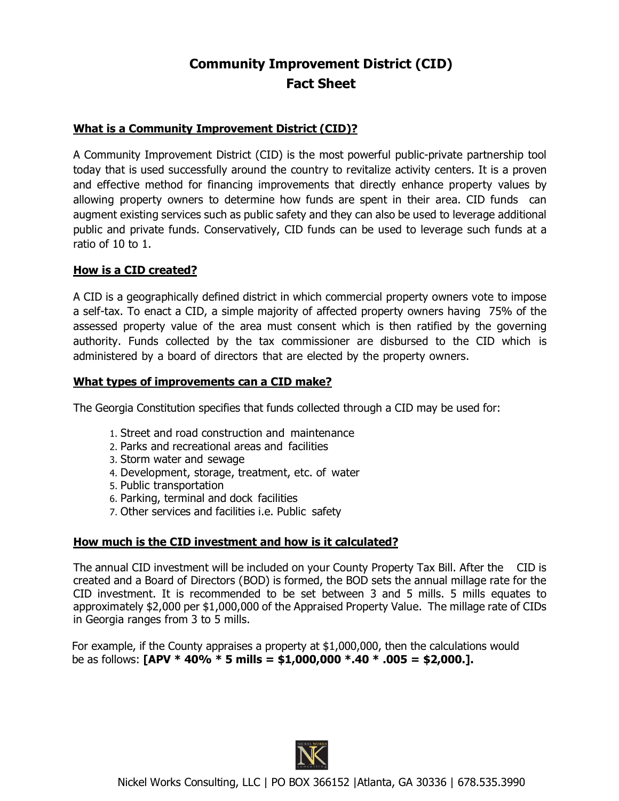# **Community Improvement District (CID) Fact Sheet**

### **What is a Community Improvement District (CID)?**

A Community Improvement District (CID) is the most powerful public-private partnership tool today that is used successfully around the country to revitalize activity centers. It is a proven and effective method for financing improvements that directly enhance property values by allowing property owners to determine how funds are spent in their area. CID funds can augment existing services such as public safety and they can also be used to leverage additional public and private funds. Conservatively, CID funds can be used to leverage such funds at a ratio of 10 to 1.

## **How is a CID created?**

A CID is a geographically defined district in which commercial property owners vote to impose a self-tax. To enact a CID, a simple majority of affected property owners having 75% of the assessed property value of the area must consent which is then ratified by the governing authority. Funds collected by the tax commissioner are disbursed to the CID which is administered by a board of directors that are elected by the property owners.

## **What types of improvements can a CID make?**

The Georgia Constitution specifies that funds collected through a CID may be used for:

- 1. Street and road construction and maintenance
- 2. Parks and recreational areas and facilities
- 3. Storm water and sewage
- 4. Development, storage, treatment, etc. of water
- 5. Public transportation
- 6. Parking, terminal and dock facilities
- 7. Other services and facilities i.e. Public safety

# **How much is the CID investment and how is it calculated?**

The annual CID investment will be included on your County Property Tax Bill. After the CID is created and a Board of Directors (BOD) is formed, the BOD sets the annual millage rate for the CID investment. It is recommended to be set between 3 and 5 mills. 5 mills equates to approximately \$2,000 per \$1,000,000 of the Appraised Property Value. The millage rate of CIDs in Georgia ranges from 3 to 5 mills.

For example, if the County appraises a property at \$1,000,000, then the calculations would be as follows: **[APV \* 40% \* 5 mills = \$1,000,000 \*.40 \* .005 = \$2,000.].**